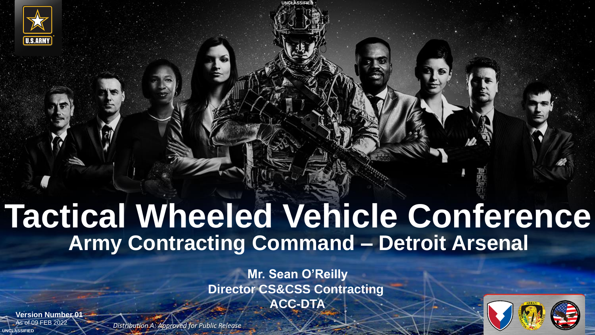

# **Tactical Wheeled Vehicle Conference Army Contracting Command – Detroit Arsenal**

**UNCLASSIFIED**

**Mr. Sean O'Reilly Director CS&CSS Contracting ACC-DTA**

**UNCLASSIFIED Version Number 01** of 09 FEB 2022

*Distribution A: Approved for Public Release*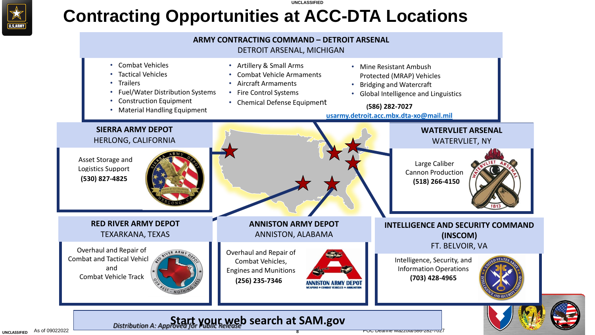

#### **UNCLASSIFIED Contracting Opportunities at ACC-DTA Locations**

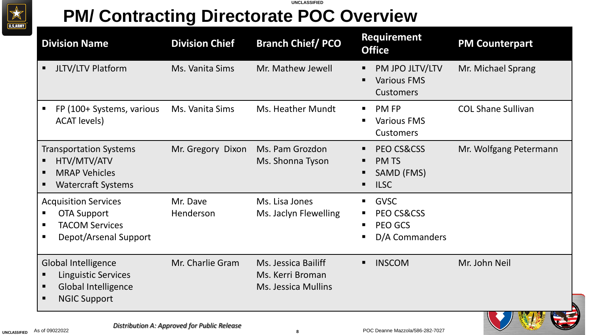

#### **UNCLASSIFIED PM/ Contracting Directorate POC Overview**

| <b>Division Name</b>                                                                                          | <b>Division Chief</b> | <b>Branch Chief/ PCO</b>                                       | <b>Requirement</b><br><b>Office</b>                                                                         | <b>PM Counterpart</b>     |
|---------------------------------------------------------------------------------------------------------------|-----------------------|----------------------------------------------------------------|-------------------------------------------------------------------------------------------------------------|---------------------------|
| <b>JLTV/LTV Platform</b>                                                                                      | Ms. Vanita Sims       | Mr. Mathew Jewell                                              | PM JPO JLTV/LTV<br>п<br><b>Various FMS</b><br>$\blacksquare$<br><b>Customers</b>                            | Mr. Michael Sprang        |
| FP (100+ Systems, various<br>п<br><b>ACAT levels)</b>                                                         | Ms. Vanita Sims       | Ms. Heather Mundt                                              | <b>PM FP</b><br>$\blacksquare$<br><b>Various FMS</b><br>п<br><b>Customers</b>                               | <b>COL Shane Sullivan</b> |
| <b>Transportation Systems</b><br>HTV/MTV/ATV<br><b>MRAP Vehicles</b><br><b>Watercraft Systems</b>             | Mr. Gregory Dixon     | Ms. Pam Grozdon<br>Ms. Shonna Tyson                            | PEO CS&CSS<br>$\blacksquare$<br><b>PMTS</b><br>п<br>SAMD (FMS)<br>п<br><b>ILSC</b><br>$\blacksquare$        | Mr. Wolfgang Petermann    |
| <b>Acquisition Services</b><br><b>OTA Support</b><br><b>TACOM Services</b><br>Depot/Arsenal Support<br>п      | Mr. Dave<br>Henderson | Ms. Lisa Jones<br>Ms. Jaclyn Flewelling                        | <b>GVSC</b><br>$\blacksquare$<br>PEO CS&CSS<br>٠<br><b>PEO GCS</b><br>п<br>D/A Commanders<br>$\blacksquare$ |                           |
| <b>Global Intelligence</b><br><b>Linguistic Services</b><br><b>Global Intelligence</b><br><b>NGIC Support</b> | Mr. Charlie Gram      | Ms. Jessica Bailiff<br>Ms. Kerri Broman<br>Ms. Jessica Mullins | <b>INSCOM</b><br>$\blacksquare$                                                                             | Mr. John Neil             |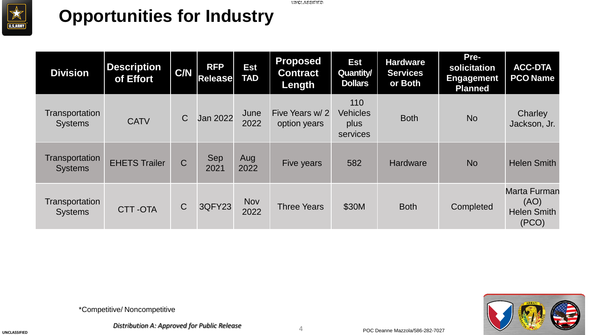

## **Opportunities for Industry**

| <b>Division</b>                  | <b>Description</b><br>of Effort | C/N          | <b>RFP</b><br>Release | <b>Est</b><br><b>TAD</b> | <b>Proposed</b><br><b>Contract</b><br>Length | <b>Est</b><br><b>Quantity/</b><br><b>Dollars</b> | <b>Hardware</b><br><b>Services</b><br>or Both | Pre-<br>solicitation<br><b>Engagement</b><br><b>Planned</b> | <b>ACC-DTA</b><br><b>PCO Name</b>                          |
|----------------------------------|---------------------------------|--------------|-----------------------|--------------------------|----------------------------------------------|--------------------------------------------------|-----------------------------------------------|-------------------------------------------------------------|------------------------------------------------------------|
| Transportation<br><b>Systems</b> | <b>CATV</b>                     | $\mathsf{C}$ | <b>Jan 2022</b>       | June<br>2022             | Five Years w/ 2<br>option years              | 110<br><b>Vehicles</b><br>plus<br>services       | <b>Both</b>                                   | <b>No</b>                                                   | <b>Charley</b><br>Jackson, Jr.                             |
| Transportation<br><b>Systems</b> | <b>EHETS Trailer</b>            |              | Sep<br>2021           | Aug<br>2022              | Five years                                   | 582                                              | <b>Hardware</b>                               | <b>No</b>                                                   | <b>Helen Smith</b>                                         |
| Transportation<br><b>Systems</b> | CTT-OTA                         | $\mathsf{C}$ | <b>3QFY23</b>         | <b>Nov</b><br>2022       | <b>Three Years</b>                           | \$30M                                            | <b>Both</b>                                   | Completed                                                   | <b>Marta Furman</b><br>(AO)<br><b>Helen Smith</b><br>(PCO) |

**UNCLASSIFIED UNCLASSIFIED**





*Distribution A: Approved for Public Release*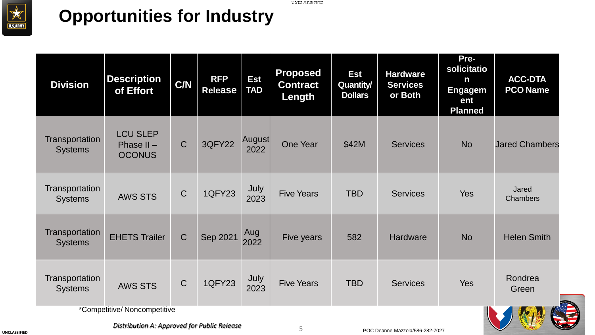

## **Opportunities for Industry**

| <b>Division</b>                  | <b>Description</b><br>of Effort                  | C/N          | <b>RFP</b><br><b>Release</b> | <b>Est</b><br><b>TAD</b> | <b>Proposed</b><br><b>Contract</b><br>Length | <b>Est</b><br><b>Quantity/</b><br><b>Dollars</b> | <b>Hardware</b><br><b>Services</b><br>or Both | Pre-<br>solicitatio<br>n<br><b>Engagem</b><br>ent<br><b>Planned</b> | <b>ACC-DTA</b><br><b>PCO Name</b> |
|----------------------------------|--------------------------------------------------|--------------|------------------------------|--------------------------|----------------------------------------------|--------------------------------------------------|-----------------------------------------------|---------------------------------------------------------------------|-----------------------------------|
| Transportation<br><b>Systems</b> | <b>LCU SLEP</b><br>Phase $II -$<br><b>OCONUS</b> | $\mathsf{C}$ | <b>3QFY22</b>                | August<br>2022           | One Year                                     | \$42M                                            | <b>Services</b>                               | <b>No</b>                                                           | <b>Jared Chambers</b>             |
| Transportation<br><b>Systems</b> | <b>AWS STS</b>                                   | $\mathsf{C}$ | <b>1QFY23</b>                | July<br>2023             | <b>Five Years</b>                            | <b>TBD</b>                                       | <b>Services</b>                               | <b>Yes</b>                                                          | Jared<br><b>Chambers</b>          |
| Transportation<br><b>Systems</b> | <b>EHETS Trailer</b>                             | $\mathsf{C}$ | Sep 2021                     | Aug<br>2022              | Five years                                   | 582                                              | <b>Hardware</b>                               | <b>No</b>                                                           | <b>Helen Smith</b>                |
| Transportation<br><b>Systems</b> | <b>AWS STS</b><br>*Competitive/ Noncompetitive   | $\mathsf{C}$ | <b>1QFY23</b>                | July<br>2023             | <b>Five Years</b>                            | <b>TBD</b>                                       | <b>Services</b>                               | <b>Yes</b>                                                          | Rondrea<br>Green                  |

5

**UNCLASSIFIED**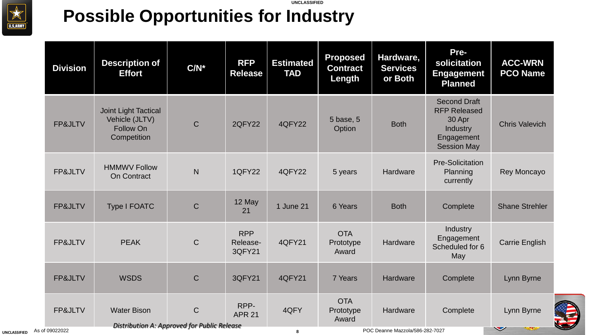

### **UNCLASSIFIED Possible Opportunities for Industry**

| <b>Division</b> | <b>Description of</b><br><b>Effort</b>                             | $C/N^*$                                                            | <b>RFP</b><br><b>Release</b>     | <b>Estimated</b><br><b>TAD</b> | <b>Proposed</b><br><b>Contract</b><br>Length | Hardware,<br><b>Services</b><br>or Both | Pre-<br>solicitation<br><b>Engagement</b><br><b>Planned</b>                                                 | <b>ACC-WRN</b><br><b>PCO Name</b> |
|-----------------|--------------------------------------------------------------------|--------------------------------------------------------------------|----------------------------------|--------------------------------|----------------------------------------------|-----------------------------------------|-------------------------------------------------------------------------------------------------------------|-----------------------------------|
| FP&JLTV         | Joint Light Tactical<br>Vehicle (JLTV)<br>Follow On<br>Competition | $\mathsf{C}$                                                       | <b>2QFY22</b>                    | 4QFY22                         | 5 base, 5<br>Option                          | <b>Both</b>                             | <b>Second Draft</b><br><b>RFP Released</b><br>30 Apr<br><b>Industry</b><br>Engagement<br><b>Session May</b> | <b>Chris Valevich</b>             |
| FP&JLTV         | <b>HMMWV Follow</b><br><b>On Contract</b>                          | $\mathsf{N}$                                                       | <b>1QFY22</b>                    | 4QFY22                         | 5 years                                      | Hardware                                | <b>Pre-Solicitation</b><br><b>Planning</b><br>currently                                                     | Rey Moncayo                       |
| FP&JLTV         | <b>Type I FOATC</b>                                                | $\mathsf{C}$                                                       | 12 May<br>21                     | 1 June 21                      | 6 Years                                      | <b>Both</b>                             | Complete                                                                                                    | <b>Shane Strehler</b>             |
| FP&JLTV         | <b>PEAK</b>                                                        | $\mathsf{C}$                                                       | <b>RPP</b><br>Release-<br>3QFY21 | 4QFY21                         | <b>OTA</b><br>Prototype<br>Award             | Hardware                                | Industry<br>Engagement<br>Scheduled for 6<br>May                                                            | <b>Carrie English</b>             |
| FP&JLTV         | <b>WSDS</b>                                                        | $\mathsf{C}$                                                       | <b>3QFY21</b>                    | 4QFY21                         | 7 Years                                      | Hardware                                | Complete                                                                                                    | Lynn Byrne                        |
| FP&JLTV         | <b>Water Bison</b>                                                 | $\mathsf{C}$<br><b>Distribution A: Approved for Public Release</b> | RPP-<br><b>APR 21</b>            | 4QFY                           | <b>OTA</b><br>Prototype<br>Award             | Hardware                                | Complete                                                                                                    | Lynn Byrne                        |

**UNCLASSIFIED**

As of 09022022 **8** POC Deanne Mazzola/586-282-7027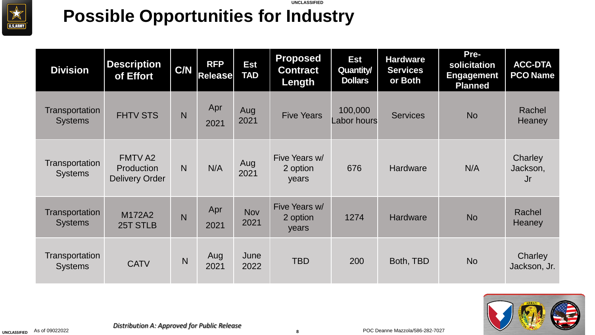

**UNCLASSIFIED**

### **UNCLASSIFIED Possible Opportunities for Industry**

| <b>Division</b>                         | <b>Description</b><br>of Effort                       | C/N            | <b>RFP</b><br>Release | <b>Est</b><br><b>TAD</b> | <b>Proposed</b><br><b>Contract</b><br>Length | <b>Est</b><br><b>Quantity/</b><br><b>Dollars</b> | <b>Hardware</b><br><b>Services</b><br>or Both | Pre-<br>solicitation<br><b>Engagement</b><br><b>Planned</b> | <b>ACC-DTA</b><br><b>PCO Name</b> |
|-----------------------------------------|-------------------------------------------------------|----------------|-----------------------|--------------------------|----------------------------------------------|--------------------------------------------------|-----------------------------------------------|-------------------------------------------------------------|-----------------------------------|
| Transportation<br><b>Systems</b>        | <b>FHTV STS</b>                                       | N <sub>1</sub> | Apr<br>2021           | Aug<br>2021              | <b>Five Years</b>                            | 100,000<br><b>Labor hours</b>                    | <b>Services</b>                               | <b>No</b>                                                   | Rachel<br><b>Heaney</b>           |
| Transportation<br><b>Systems</b>        | <b>FMTV A2</b><br>Production<br><b>Delivery Order</b> | N.             | N/A                   | Aug<br>2021              | Five Years w/<br>2 option<br>years           | 676                                              | <b>Hardware</b>                               | N/A                                                         | Charley<br>Jackson,<br>Jr         |
| <b>Transportation</b><br><b>Systems</b> | M172A2<br>25T STLB                                    | N              | Apr<br>2021           | <b>Nov</b><br>2021       | Five Years w/<br>2 option<br>years           | 1274                                             | <b>Hardware</b>                               | <b>No</b>                                                   | Rachel<br>Heaney                  |
| Transportation<br><b>Systems</b>        | <b>CATV</b>                                           | N              | Aug<br>2021           | June<br>2022             | <b>TBD</b>                                   | 200                                              | Both, TBD                                     | <b>No</b>                                                   | Charley<br>Jackson, Jr.           |